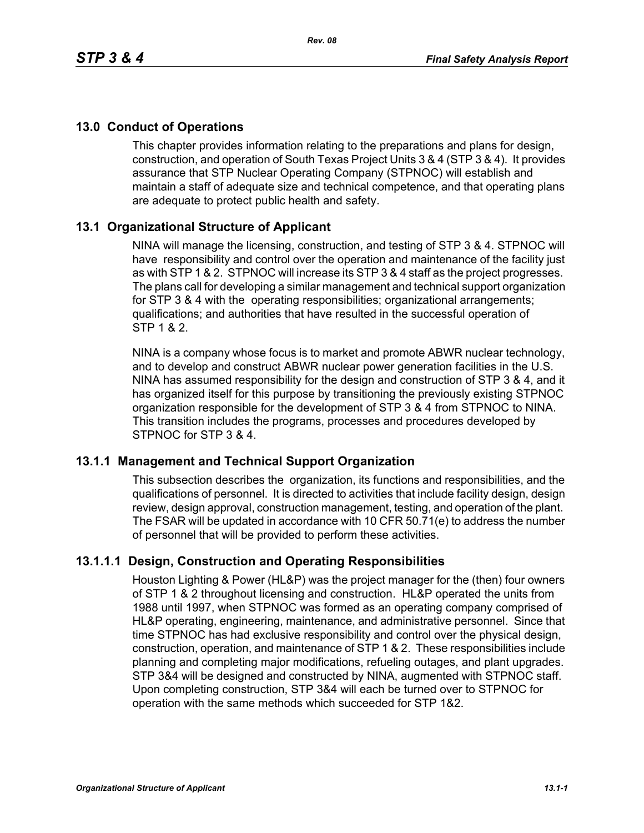# **13.0 Conduct of Operations**

This chapter provides information relating to the preparations and plans for design, construction, and operation of South Texas Project Units 3 & 4 (STP 3 & 4). It provides assurance that STP Nuclear Operating Company (STPNOC) will establish and maintain a staff of adequate size and technical competence, and that operating plans are adequate to protect public health and safety.

# **13.1 Organizational Structure of Applicant**

NINA will manage the licensing, construction, and testing of STP 3 & 4. STPNOC will have responsibility and control over the operation and maintenance of the facility just as with STP 1 & 2. STPNOC will increase its STP 3 & 4 staff as the project progresses. The plans call for developing a similar management and technical support organization for STP 3 & 4 with the operating responsibilities; organizational arrangements; qualifications; and authorities that have resulted in the successful operation of STP 1 & 2.

NINA is a company whose focus is to market and promote ABWR nuclear technology, and to develop and construct ABWR nuclear power generation facilities in the U.S. NINA has assumed responsibility for the design and construction of STP 3 & 4, and it has organized itself for this purpose by transitioning the previously existing STPNOC organization responsible for the development of STP 3 & 4 from STPNOC to NINA. This transition includes the programs, processes and procedures developed by STPNOC for STP 3 & 4.

### **13.1.1 Management and Technical Support Organization**

This subsection describes the organization, its functions and responsibilities, and the qualifications of personnel. It is directed to activities that include facility design, design review, design approval, construction management, testing, and operation of the plant. The FSAR will be updated in accordance with 10 CFR 50.71(e) to address the number of personnel that will be provided to perform these activities.

# **13.1.1.1 Design, Construction and Operating Responsibilities**

Houston Lighting & Power (HL&P) was the project manager for the (then) four owners of STP 1 & 2 throughout licensing and construction. HL&P operated the units from 1988 until 1997, when STPNOC was formed as an operating company comprised of HL&P operating, engineering, maintenance, and administrative personnel. Since that time STPNOC has had exclusive responsibility and control over the physical design, construction, operation, and maintenance of STP 1 & 2. These responsibilities include planning and completing major modifications, refueling outages, and plant upgrades. STP 3&4 will be designed and constructed by NINA, augmented with STPNOC staff. Upon completing construction, STP 3&4 will each be turned over to STPNOC for operation with the same methods which succeeded for STP 1&2.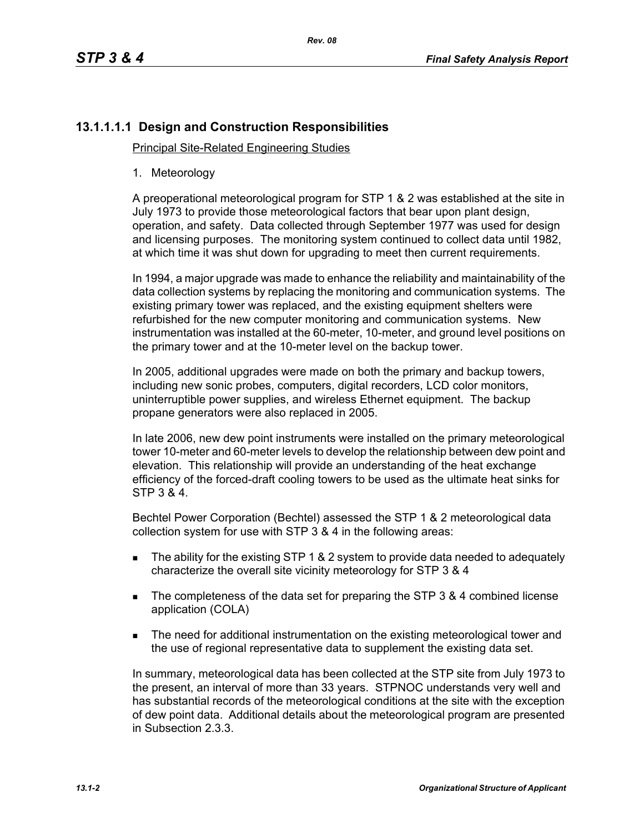# **13.1.1.1.1 Design and Construction Responsibilities**

Principal Site-Related Engineering Studies

1. Meteorology

A preoperational meteorological program for STP 1 & 2 was established at the site in July 1973 to provide those meteorological factors that bear upon plant design, operation, and safety. Data collected through September 1977 was used for design and licensing purposes. The monitoring system continued to collect data until 1982, at which time it was shut down for upgrading to meet then current requirements.

In 1994, a major upgrade was made to enhance the reliability and maintainability of the data collection systems by replacing the monitoring and communication systems. The existing primary tower was replaced, and the existing equipment shelters were refurbished for the new computer monitoring and communication systems. New instrumentation was installed at the 60-meter, 10-meter, and ground level positions on the primary tower and at the 10-meter level on the backup tower.

In 2005, additional upgrades were made on both the primary and backup towers, including new sonic probes, computers, digital recorders, LCD color monitors, uninterruptible power supplies, and wireless Ethernet equipment. The backup propane generators were also replaced in 2005.

In late 2006, new dew point instruments were installed on the primary meteorological tower 10-meter and 60-meter levels to develop the relationship between dew point and elevation. This relationship will provide an understanding of the heat exchange efficiency of the forced-draft cooling towers to be used as the ultimate heat sinks for STP 3 & 4.

Bechtel Power Corporation (Bechtel) assessed the STP 1 & 2 meteorological data collection system for use with STP 3 & 4 in the following areas:

- The ability for the existing STP 1 & 2 system to provide data needed to adequately characterize the overall site vicinity meteorology for STP 3 & 4
- The completeness of the data set for preparing the STP 3 & 4 combined license application (COLA)
- **The need for additional instrumentation on the existing meteorological tower and** the use of regional representative data to supplement the existing data set.

In summary, meteorological data has been collected at the STP site from July 1973 to the present, an interval of more than 33 years. STPNOC understands very well and has substantial records of the meteorological conditions at the site with the exception of dew point data. Additional details about the meteorological program are presented in Subsection 2.3.3.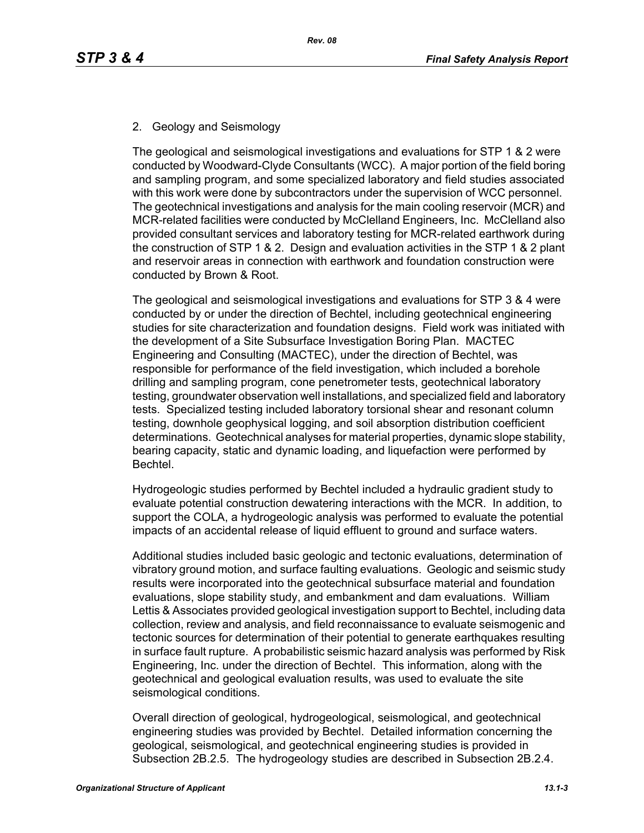# 2. Geology and Seismology

The geological and seismological investigations and evaluations for STP 1 & 2 were conducted by Woodward-Clyde Consultants (WCC). A major portion of the field boring and sampling program, and some specialized laboratory and field studies associated with this work were done by subcontractors under the supervision of WCC personnel. The geotechnical investigations and analysis for the main cooling reservoir (MCR) and MCR-related facilities were conducted by McClelland Engineers, Inc. McClelland also provided consultant services and laboratory testing for MCR-related earthwork during the construction of STP 1 & 2. Design and evaluation activities in the STP 1 & 2 plant and reservoir areas in connection with earthwork and foundation construction were conducted by Brown & Root.

The geological and seismological investigations and evaluations for STP 3 & 4 were conducted by or under the direction of Bechtel, including geotechnical engineering studies for site characterization and foundation designs. Field work was initiated with the development of a Site Subsurface Investigation Boring Plan. MACTEC Engineering and Consulting (MACTEC), under the direction of Bechtel, was responsible for performance of the field investigation, which included a borehole drilling and sampling program, cone penetrometer tests, geotechnical laboratory testing, groundwater observation well installations, and specialized field and laboratory tests. Specialized testing included laboratory torsional shear and resonant column testing, downhole geophysical logging, and soil absorption distribution coefficient determinations. Geotechnical analyses for material properties, dynamic slope stability, bearing capacity, static and dynamic loading, and liquefaction were performed by Bechtel.

Hydrogeologic studies performed by Bechtel included a hydraulic gradient study to evaluate potential construction dewatering interactions with the MCR. In addition, to support the COLA, a hydrogeologic analysis was performed to evaluate the potential impacts of an accidental release of liquid effluent to ground and surface waters.

Additional studies included basic geologic and tectonic evaluations, determination of vibratory ground motion, and surface faulting evaluations. Geologic and seismic study results were incorporated into the geotechnical subsurface material and foundation evaluations, slope stability study, and embankment and dam evaluations. William Lettis & Associates provided geological investigation support to Bechtel, including data collection, review and analysis, and field reconnaissance to evaluate seismogenic and tectonic sources for determination of their potential to generate earthquakes resulting in surface fault rupture. A probabilistic seismic hazard analysis was performed by Risk Engineering, Inc. under the direction of Bechtel. This information, along with the geotechnical and geological evaluation results, was used to evaluate the site seismological conditions.

Overall direction of geological, hydrogeological, seismological, and geotechnical engineering studies was provided by Bechtel. Detailed information concerning the geological, seismological, and geotechnical engineering studies is provided in Subsection 2B.2.5. The hydrogeology studies are described in Subsection 2B.2.4.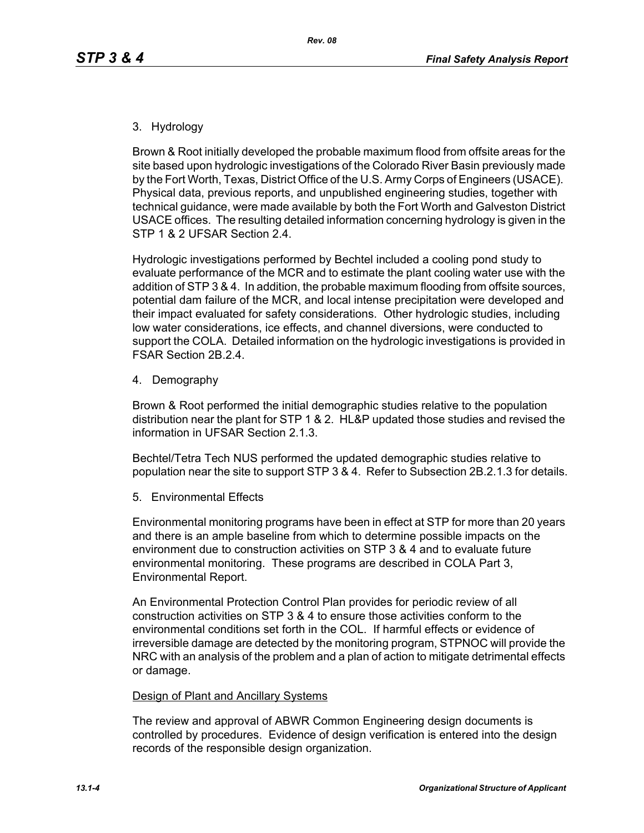#### 3. Hydrology

Brown & Root initially developed the probable maximum flood from offsite areas for the site based upon hydrologic investigations of the Colorado River Basin previously made by the Fort Worth, Texas, District Office of the U.S. Army Corps of Engineers (USACE). Physical data, previous reports, and unpublished engineering studies, together with technical guidance, were made available by both the Fort Worth and Galveston District USACE offices. The resulting detailed information concerning hydrology is given in the STP 1 & 2 UFSAR Section 2.4.

Hydrologic investigations performed by Bechtel included a cooling pond study to evaluate performance of the MCR and to estimate the plant cooling water use with the addition of STP 3 & 4. In addition, the probable maximum flooding from offsite sources, potential dam failure of the MCR, and local intense precipitation were developed and their impact evaluated for safety considerations. Other hydrologic studies, including low water considerations, ice effects, and channel diversions, were conducted to support the COLA. Detailed information on the hydrologic investigations is provided in FSAR Section 2B.2.4.

4. Demography

Brown & Root performed the initial demographic studies relative to the population distribution near the plant for STP 1 & 2. HL&P updated those studies and revised the information in UFSAR Section 2.1.3.

Bechtel/Tetra Tech NUS performed the updated demographic studies relative to population near the site to support STP 3 & 4. Refer to Subsection 2B.2.1.3 for details.

5. Environmental Effects

Environmental monitoring programs have been in effect at STP for more than 20 years and there is an ample baseline from which to determine possible impacts on the environment due to construction activities on STP 3 & 4 and to evaluate future environmental monitoring. These programs are described in COLA Part 3, Environmental Report.

An Environmental Protection Control Plan provides for periodic review of all construction activities on STP 3 & 4 to ensure those activities conform to the environmental conditions set forth in the COL. If harmful effects or evidence of irreversible damage are detected by the monitoring program, STPNOC will provide the NRC with an analysis of the problem and a plan of action to mitigate detrimental effects or damage.

#### Design of Plant and Ancillary Systems

The review and approval of ABWR Common Engineering design documents is controlled by procedures. Evidence of design verification is entered into the design records of the responsible design organization.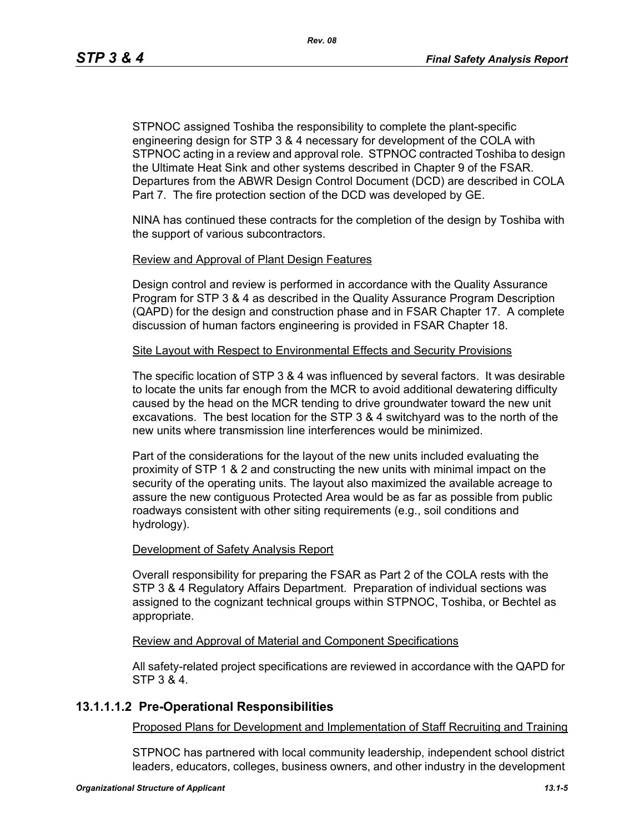STPNOC assigned Toshiba the responsibility to complete the plant-specific engineering design for STP 3 & 4 necessary for development of the COLA with STPNOC acting in a review and approval role. STPNOC contracted Toshiba to design the Ultimate Heat Sink and other systems described in Chapter 9 of the FSAR. Departures from the ABWR Design Control Document (DCD) are described in COLA Part 7. The fire protection section of the DCD was developed by GE.

NINA has continued these contracts for the completion of the design by Toshiba with the support of various subcontractors.

#### Review and Approval of Plant Design Features

Design control and review is performed in accordance with the Quality Assurance Program for STP 3 & 4 as described in the Quality Assurance Program Description (QAPD) for the design and construction phase and in FSAR Chapter 17. A complete discussion of human factors engineering is provided in FSAR Chapter 18.

#### Site Layout with Respect to Environmental Effects and Security Provisions

The specific location of STP 3 & 4 was influenced by several factors. It was desirable to locate the units far enough from the MCR to avoid additional dewatering difficulty caused by the head on the MCR tending to drive groundwater toward the new unit excavations. The best location for the STP 3 & 4 switchyard was to the north of the new units where transmission line interferences would be minimized.

Part of the considerations for the layout of the new units included evaluating the proximity of STP 1 & 2 and constructing the new units with minimal impact on the security of the operating units. The layout also maximized the available acreage to assure the new contiguous Protected Area would be as far as possible from public roadways consistent with other siting requirements (e.g., soil conditions and hydrology).

#### Development of Safety Analysis Report

Overall responsibility for preparing the FSAR as Part 2 of the COLA rests with the STP 3 & 4 Regulatory Affairs Department. Preparation of individual sections was assigned to the cognizant technical groups within STPNOC, Toshiba, or Bechtel as appropriate.

#### Review and Approval of Material and Component Specifications

All safety-related project specifications are reviewed in accordance with the QAPD for STP 3 & 4.

# **13.1.1.1.2 Pre-Operational Responsibilities**

Proposed Plans for Development and Implementation of Staff Recruiting and Training

STPNOC has partnered with local community leadership, independent school district leaders, educators, colleges, business owners, and other industry in the development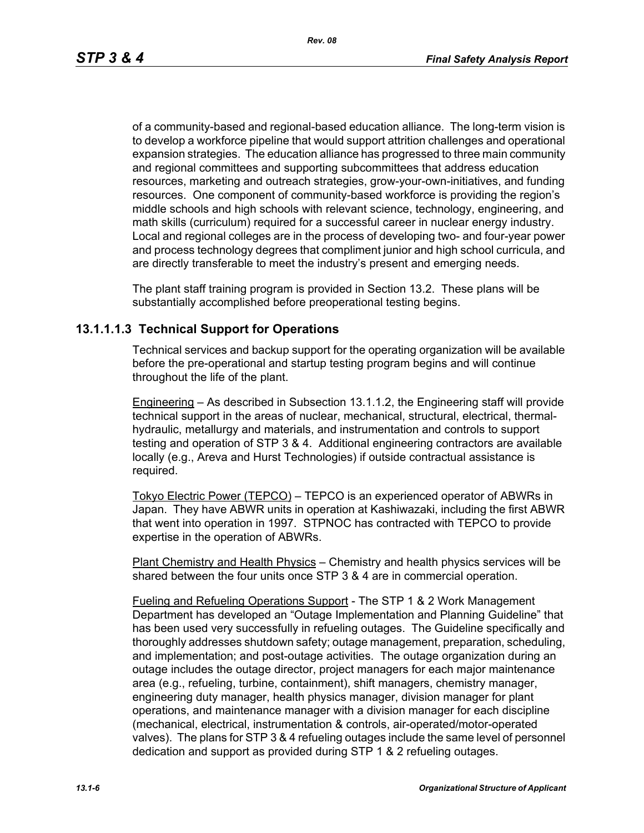of a community-based and regional-based education alliance. The long-term vision is to develop a workforce pipeline that would support attrition challenges and operational expansion strategies. The education alliance has progressed to three main community and regional committees and supporting subcommittees that address education resources, marketing and outreach strategies, grow-your-own-initiatives, and funding resources. One component of community-based workforce is providing the region's middle schools and high schools with relevant science, technology, engineering, and math skills (curriculum) required for a successful career in nuclear energy industry. Local and regional colleges are in the process of developing two- and four-year power and process technology degrees that compliment junior and high school curricula, and are directly transferable to meet the industry's present and emerging needs.

The plant staff training program is provided in Section 13.2. These plans will be substantially accomplished before preoperational testing begins.

# **13.1.1.1.3 Technical Support for Operations**

Technical services and backup support for the operating organization will be available before the pre-operational and startup testing program begins and will continue throughout the life of the plant.

Engineering – As described in Subsection 13.1.1.2, the Engineering staff will provide technical support in the areas of nuclear, mechanical, structural, electrical, thermalhydraulic, metallurgy and materials, and instrumentation and controls to support testing and operation of STP 3 & 4. Additional engineering contractors are available locally (e.g., Areva and Hurst Technologies) if outside contractual assistance is required.

Tokyo Electric Power (TEPCO) – TEPCO is an experienced operator of ABWRs in Japan. They have ABWR units in operation at Kashiwazaki, including the first ABWR that went into operation in 1997. STPNOC has contracted with TEPCO to provide expertise in the operation of ABWRs.

Plant Chemistry and Health Physics – Chemistry and health physics services will be shared between the four units once STP 3 & 4 are in commercial operation.

Fueling and Refueling Operations Support - The STP 1 & 2 Work Management Department has developed an "Outage Implementation and Planning Guideline" that has been used very successfully in refueling outages. The Guideline specifically and thoroughly addresses shutdown safety; outage management, preparation, scheduling, and implementation; and post-outage activities. The outage organization during an outage includes the outage director, project managers for each major maintenance area (e.g., refueling, turbine, containment), shift managers, chemistry manager, engineering duty manager, health physics manager, division manager for plant operations, and maintenance manager with a division manager for each discipline (mechanical, electrical, instrumentation & controls, air-operated/motor-operated valves). The plans for STP 3 & 4 refueling outages include the same level of personnel dedication and support as provided during STP 1 & 2 refueling outages.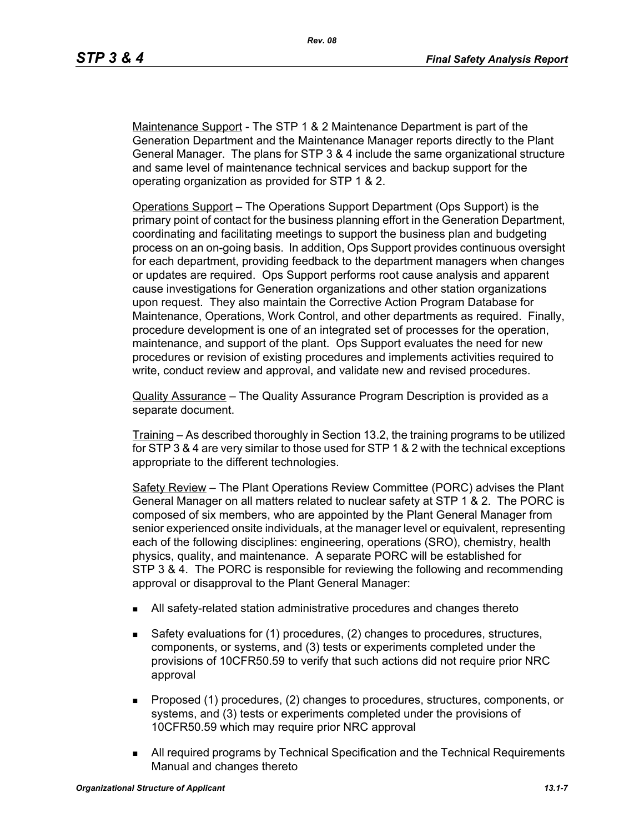Maintenance Support - The STP 1 & 2 Maintenance Department is part of the Generation Department and the Maintenance Manager reports directly to the Plant General Manager. The plans for STP 3 & 4 include the same organizational structure and same level of maintenance technical services and backup support for the operating organization as provided for STP 1 & 2.

Operations Support – The Operations Support Department (Ops Support) is the primary point of contact for the business planning effort in the Generation Department, coordinating and facilitating meetings to support the business plan and budgeting process on an on-going basis. In addition, Ops Support provides continuous oversight for each department, providing feedback to the department managers when changes or updates are required. Ops Support performs root cause analysis and apparent cause investigations for Generation organizations and other station organizations upon request. They also maintain the Corrective Action Program Database for Maintenance, Operations, Work Control, and other departments as required. Finally, procedure development is one of an integrated set of processes for the operation, maintenance, and support of the plant. Ops Support evaluates the need for new procedures or revision of existing procedures and implements activities required to write, conduct review and approval, and validate new and revised procedures.

Quality Assurance – The Quality Assurance Program Description is provided as a separate document.

Training – As described thoroughly in Section 13.2, the training programs to be utilized for STP 3 & 4 are very similar to those used for STP 1 & 2 with the technical exceptions appropriate to the different technologies.

Safety Review – The Plant Operations Review Committee (PORC) advises the Plant General Manager on all matters related to nuclear safety at STP 1 & 2. The PORC is composed of six members, who are appointed by the Plant General Manager from senior experienced onsite individuals, at the manager level or equivalent, representing each of the following disciplines: engineering, operations (SRO), chemistry, health physics, quality, and maintenance. A separate PORC will be established for STP 3 & 4. The PORC is responsible for reviewing the following and recommending approval or disapproval to the Plant General Manager:

- All safety-related station administrative procedures and changes thereto
- Safety evaluations for (1) procedures, (2) changes to procedures, structures, components, or systems, and (3) tests or experiments completed under the provisions of 10CFR50.59 to verify that such actions did not require prior NRC approval
- **Proposed (1) procedures, (2) changes to procedures, structures, components, or** systems, and (3) tests or experiments completed under the provisions of 10CFR50.59 which may require prior NRC approval
- All required programs by Technical Specification and the Technical Requirements Manual and changes thereto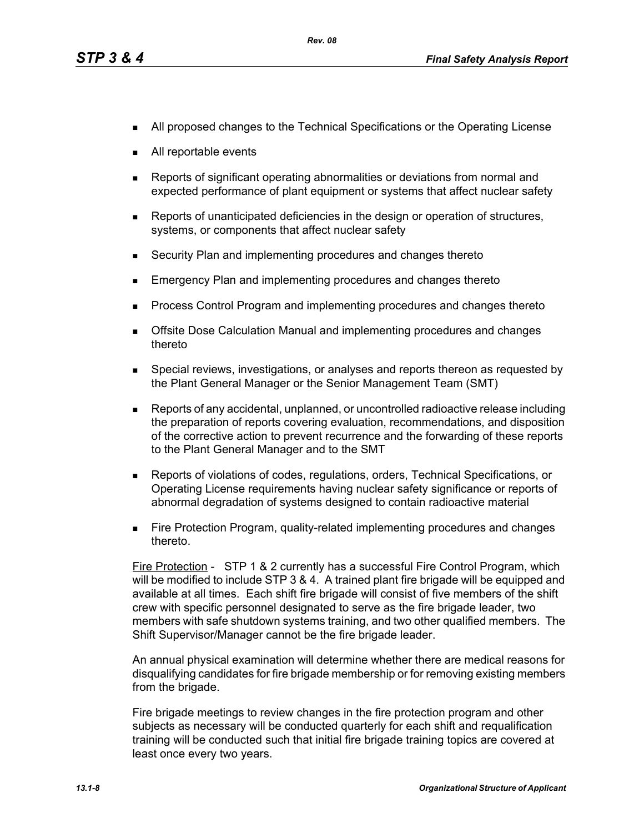- **All proposed changes to the Technical Specifications or the Operating License**
- All reportable events
- Reports of significant operating abnormalities or deviations from normal and expected performance of plant equipment or systems that affect nuclear safety
- **Reports of unanticipated deficiencies in the design or operation of structures,** systems, or components that affect nuclear safety
- Security Plan and implementing procedures and changes thereto
- Emergency Plan and implementing procedures and changes thereto
- **Process Control Program and implementing procedures and changes thereto**
- Offsite Dose Calculation Manual and implementing procedures and changes thereto
- **Special reviews, investigations, or analyses and reports thereon as requested by** the Plant General Manager or the Senior Management Team (SMT)
- Reports of any accidental, unplanned, or uncontrolled radioactive release including the preparation of reports covering evaluation, recommendations, and disposition of the corrective action to prevent recurrence and the forwarding of these reports to the Plant General Manager and to the SMT
- Reports of violations of codes, regulations, orders, Technical Specifications, or Operating License requirements having nuclear safety significance or reports of abnormal degradation of systems designed to contain radioactive material
- **Fire Protection Program, quality-related implementing procedures and changes** thereto.

Fire Protection - STP 1 & 2 currently has a successful Fire Control Program, which will be modified to include STP 3 & 4. A trained plant fire brigade will be equipped and available at all times. Each shift fire brigade will consist of five members of the shift crew with specific personnel designated to serve as the fire brigade leader, two members with safe shutdown systems training, and two other qualified members. The Shift Supervisor/Manager cannot be the fire brigade leader.

An annual physical examination will determine whether there are medical reasons for disqualifying candidates for fire brigade membership or for removing existing members from the brigade.

Fire brigade meetings to review changes in the fire protection program and other subjects as necessary will be conducted quarterly for each shift and requalification training will be conducted such that initial fire brigade training topics are covered at least once every two years.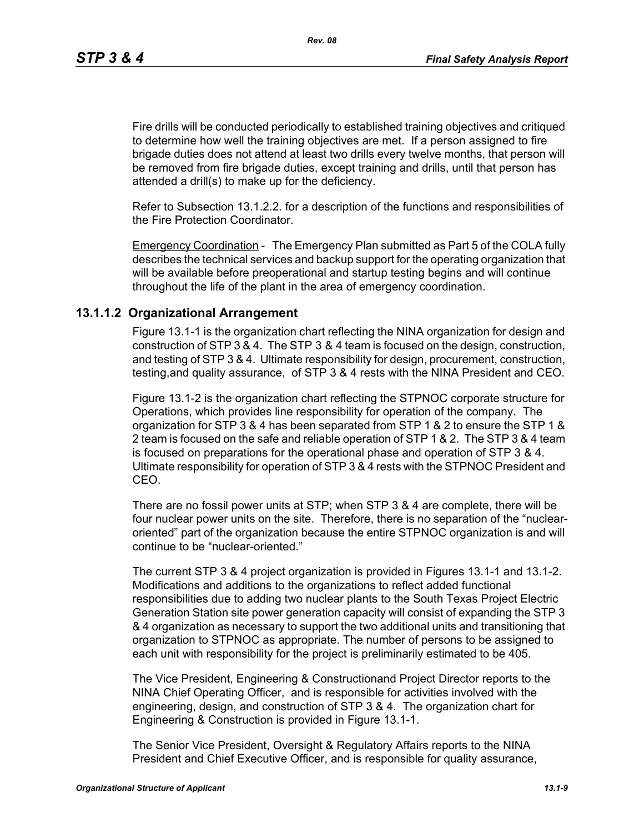*Rev. 08*

Fire drills will be conducted periodically to established training objectives and critiqued to determine how well the training objectives are met. If a person assigned to fire brigade duties does not attend at least two drills every twelve months, that person will be removed from fire brigade duties, except training and drills, until that person has attended a drill(s) to make up for the deficiency.

Refer to Subsection 13.1.2.2. for a description of the functions and responsibilities of the Fire Protection Coordinator.

Emergency Coordination - The Emergency Plan submitted as Part 5 of the COLA fully describes the technical services and backup support for the operating organization that will be available before preoperational and startup testing begins and will continue throughout the life of the plant in the area of emergency coordination.

# **13.1.1.2 Organizational Arrangement**

Figure 13.1-1 is the organization chart reflecting the NINA organization for design and construction of STP 3 & 4. The STP 3 & 4 team is focused on the design, construction, and testing of STP 3 & 4. Ultimate responsibility for design, procurement, construction, testing,and quality assurance, of STP 3 & 4 rests with the NINA President and CEO.

Figure 13.1-2 is the organization chart reflecting the STPNOC corporate structure for Operations, which provides line responsibility for operation of the company. The organization for STP 3 & 4 has been separated from STP 1 & 2 to ensure the STP 1 & 2 team is focused on the safe and reliable operation of STP 1 & 2. The STP 3 & 4 team is focused on preparations for the operational phase and operation of STP 3 & 4. Ultimate responsibility for operation of STP 3 & 4 rests with the STPNOC President and CEO.

There are no fossil power units at STP; when STP 3 & 4 are complete, there will be four nuclear power units on the site. Therefore, there is no separation of the "nuclearoriented" part of the organization because the entire STPNOC organization is and will continue to be "nuclear-oriented."

The current STP 3 & 4 project organization is provided in Figures 13.1-1 and 13.1-2. Modifications and additions to the organizations to reflect added functional responsibilities due to adding two nuclear plants to the South Texas Project Electric Generation Station site power generation capacity will consist of expanding the STP 3 & 4 organization as necessary to support the two additional units and transitioning that organization to STPNOC as appropriate. The number of persons to be assigned to each unit with responsibility for the project is preliminarily estimated to be 405.

The Vice President, Engineering & Constructionand Project Director reports to the NINA Chief Operating Officer, and is responsible for activities involved with the engineering, design, and construction of STP 3 & 4. The organization chart for Engineering & Construction is provided in Figure 13.1-1.

The Senior Vice President, Oversight & Regulatory Affairs reports to the NINA President and Chief Executive Officer, and is responsible for quality assurance,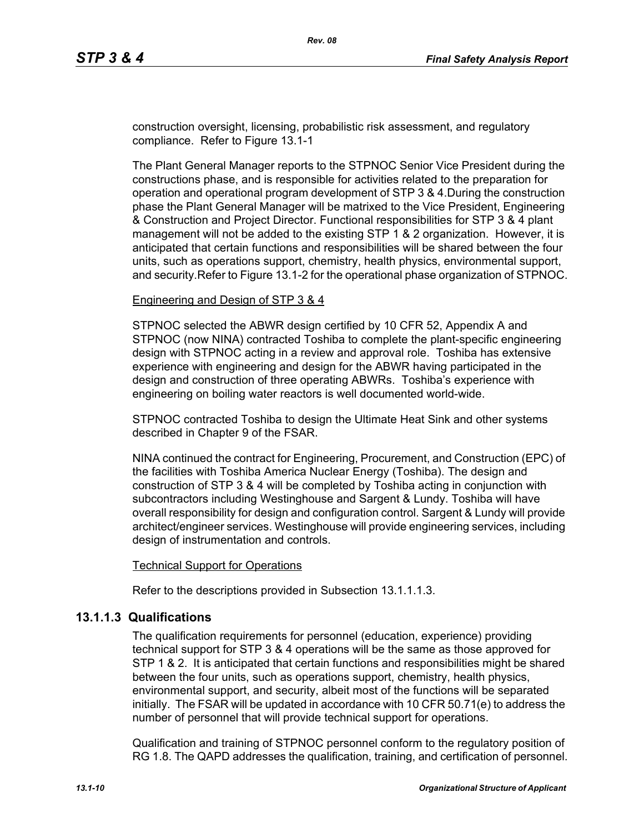construction oversight, licensing, probabilistic risk assessment, and regulatory compliance. Refer to Figure 13.1-1

The Plant General Manager reports to the STPNOC Senior Vice President during the constructions phase, and is responsible for activities related to the preparation for operation and operational program development of STP 3 & 4.During the construction phase the Plant General Manager will be matrixed to the Vice President, Engineering & Construction and Project Director. Functional responsibilities for STP 3 & 4 plant management will not be added to the existing STP 1 & 2 organization. However, it is anticipated that certain functions and responsibilities will be shared between the four units, such as operations support, chemistry, health physics, environmental support, and security.Refer to Figure 13.1-2 for the operational phase organization of STPNOC.

#### Engineering and Design of STP 3 & 4

STPNOC selected the ABWR design certified by 10 CFR 52, Appendix A and STPNOC (now NINA) contracted Toshiba to complete the plant-specific engineering design with STPNOC acting in a review and approval role. Toshiba has extensive experience with engineering and design for the ABWR having participated in the design and construction of three operating ABWRs. Toshiba's experience with engineering on boiling water reactors is well documented world-wide.

STPNOC contracted Toshiba to design the Ultimate Heat Sink and other systems described in Chapter 9 of the FSAR.

NINA continued the contract for Engineering, Procurement, and Construction (EPC) of the facilities with Toshiba America Nuclear Energy (Toshiba). The design and construction of STP 3 & 4 will be completed by Toshiba acting in conjunction with subcontractors including Westinghouse and Sargent & Lundy. Toshiba will have overall responsibility for design and configuration control. Sargent & Lundy will provide architect/engineer services. Westinghouse will provide engineering services, including design of instrumentation and controls.

#### Technical Support for Operations

Refer to the descriptions provided in Subsection 13.1.1.1.3.

### **13.1.1.3 Qualifications**

The qualification requirements for personnel (education, experience) providing technical support for STP 3 & 4 operations will be the same as those approved for STP 1 & 2. It is anticipated that certain functions and responsibilities might be shared between the four units, such as operations support, chemistry, health physics, environmental support, and security, albeit most of the functions will be separated initially. The FSAR will be updated in accordance with 10 CFR 50.71(e) to address the number of personnel that will provide technical support for operations.

Qualification and training of STPNOC personnel conform to the regulatory position of RG 1.8. The QAPD addresses the qualification, training, and certification of personnel.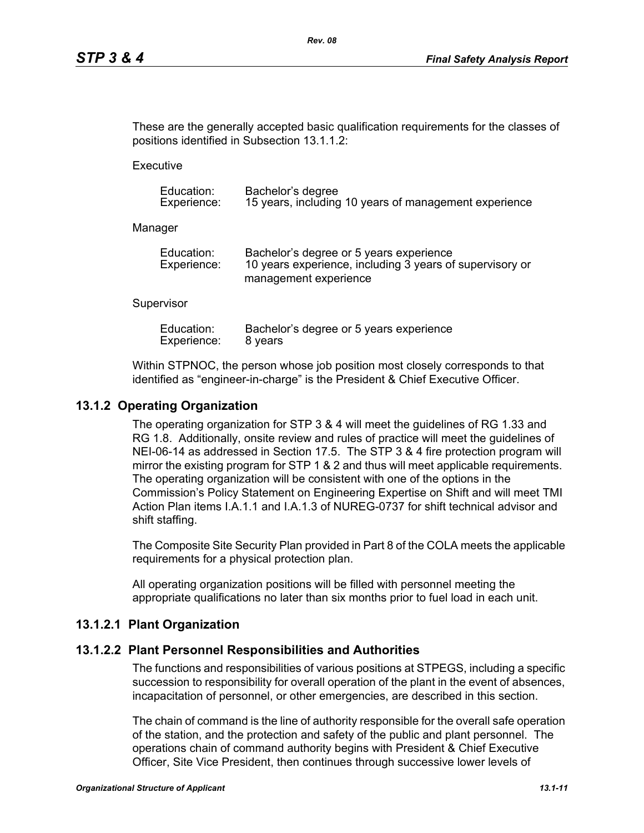These are the generally accepted basic qualification requirements for the classes of positions identified in Subsection 13.1.1.2:

**Executive** 

| Education:  | Bachelor's degree                                     |
|-------------|-------------------------------------------------------|
| Experience: | 15 years, including 10 years of management experience |

Manager

| Education:  | Bachelor's degree or 5 years experience                  |
|-------------|----------------------------------------------------------|
| Experience: | 10 years experience, including 3 years of supervisory or |
|             | management experience                                    |

#### **Supervisor**

| Education:  | Bachelor's degree or 5 years experience |
|-------------|-----------------------------------------|
| Experience: | 8 years                                 |

Within STPNOC, the person whose job position most closely corresponds to that identified as "engineer-in-charge" is the President & Chief Executive Officer.

### **13.1.2 Operating Organization**

The operating organization for STP 3 & 4 will meet the guidelines of RG 1.33 and RG 1.8. Additionally, onsite review and rules of practice will meet the guidelines of NEI-06-14 as addressed in Section 17.5. The STP 3 & 4 fire protection program will mirror the existing program for STP 1 & 2 and thus will meet applicable requirements. The operating organization will be consistent with one of the options in the Commission's Policy Statement on Engineering Expertise on Shift and will meet TMI Action Plan items I.A.1.1 and I.A.1.3 of NUREG-0737 for shift technical advisor and shift staffing.

The Composite Site Security Plan provided in Part 8 of the COLA meets the applicable requirements for a physical protection plan.

All operating organization positions will be filled with personnel meeting the appropriate qualifications no later than six months prior to fuel load in each unit.

### **13.1.2.1 Plant Organization**

#### **13.1.2.2 Plant Personnel Responsibilities and Authorities**

The functions and responsibilities of various positions at STPEGS, including a specific succession to responsibility for overall operation of the plant in the event of absences, incapacitation of personnel, or other emergencies, are described in this section.

The chain of command is the line of authority responsible for the overall safe operation of the station, and the protection and safety of the public and plant personnel. The operations chain of command authority begins with President & Chief Executive Officer, Site Vice President, then continues through successive lower levels of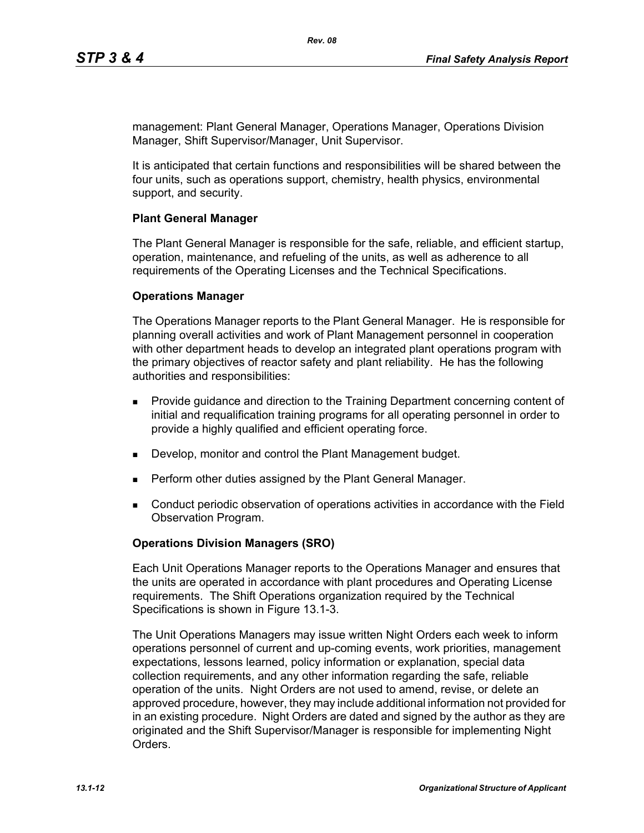management: Plant General Manager, Operations Manager, Operations Division Manager, Shift Supervisor/Manager, Unit Supervisor.

It is anticipated that certain functions and responsibilities will be shared between the four units, such as operations support, chemistry, health physics, environmental support, and security.

#### **Plant General Manager**

The Plant General Manager is responsible for the safe, reliable, and efficient startup, operation, maintenance, and refueling of the units, as well as adherence to all requirements of the Operating Licenses and the Technical Specifications.

#### **Operations Manager**

The Operations Manager reports to the Plant General Manager. He is responsible for planning overall activities and work of Plant Management personnel in cooperation with other department heads to develop an integrated plant operations program with the primary objectives of reactor safety and plant reliability. He has the following authorities and responsibilities:

- **Provide guidance and direction to the Training Department concerning content of** initial and requalification training programs for all operating personnel in order to provide a highly qualified and efficient operating force.
- Develop, monitor and control the Plant Management budget.
- **Perform other duties assigned by the Plant General Manager.**
- Conduct periodic observation of operations activities in accordance with the Field Observation Program.

### **Operations Division Managers (SRO)**

Each Unit Operations Manager reports to the Operations Manager and ensures that the units are operated in accordance with plant procedures and Operating License requirements. The Shift Operations organization required by the Technical Specifications is shown in Figure 13.1-3.

The Unit Operations Managers may issue written Night Orders each week to inform operations personnel of current and up-coming events, work priorities, management expectations, lessons learned, policy information or explanation, special data collection requirements, and any other information regarding the safe, reliable operation of the units. Night Orders are not used to amend, revise, or delete an approved procedure, however, they may include additional information not provided for in an existing procedure. Night Orders are dated and signed by the author as they are originated and the Shift Supervisor/Manager is responsible for implementing Night Orders.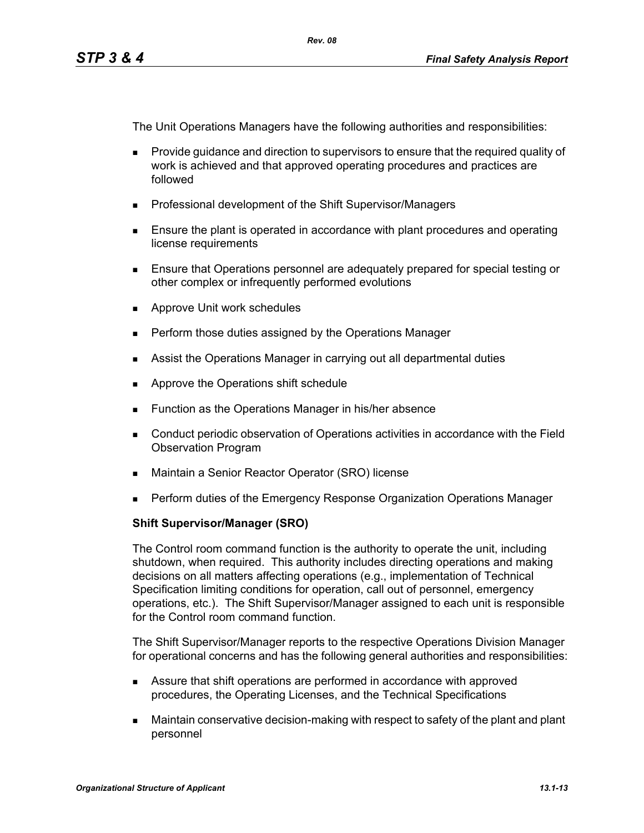The Unit Operations Managers have the following authorities and responsibilities:

- **Provide quidance and direction to supervisors to ensure that the required quality of** work is achieved and that approved operating procedures and practices are followed
- **Professional development of the Shift Supervisor/Managers**
- **Ensure the plant is operated in accordance with plant procedures and operating** license requirements
- Ensure that Operations personnel are adequately prepared for special testing or other complex or infrequently performed evolutions
- **Approve Unit work schedules**
- **Perform those duties assigned by the Operations Manager**
- **Assist the Operations Manager in carrying out all departmental duties**
- **Approve the Operations shift schedule**
- **Function as the Operations Manager in his/her absence**
- Conduct periodic observation of Operations activities in accordance with the Field Observation Program
- Maintain a Senior Reactor Operator (SRO) license
- **Perform duties of the Emergency Response Organization Operations Manager**

### **Shift Supervisor/Manager (SRO)**

The Control room command function is the authority to operate the unit, including shutdown, when required. This authority includes directing operations and making decisions on all matters affecting operations (e.g., implementation of Technical Specification limiting conditions for operation, call out of personnel, emergency operations, etc.). The Shift Supervisor/Manager assigned to each unit is responsible for the Control room command function.

The Shift Supervisor/Manager reports to the respective Operations Division Manager for operational concerns and has the following general authorities and responsibilities:

- Assure that shift operations are performed in accordance with approved procedures, the Operating Licenses, and the Technical Specifications
- Maintain conservative decision-making with respect to safety of the plant and plant personnel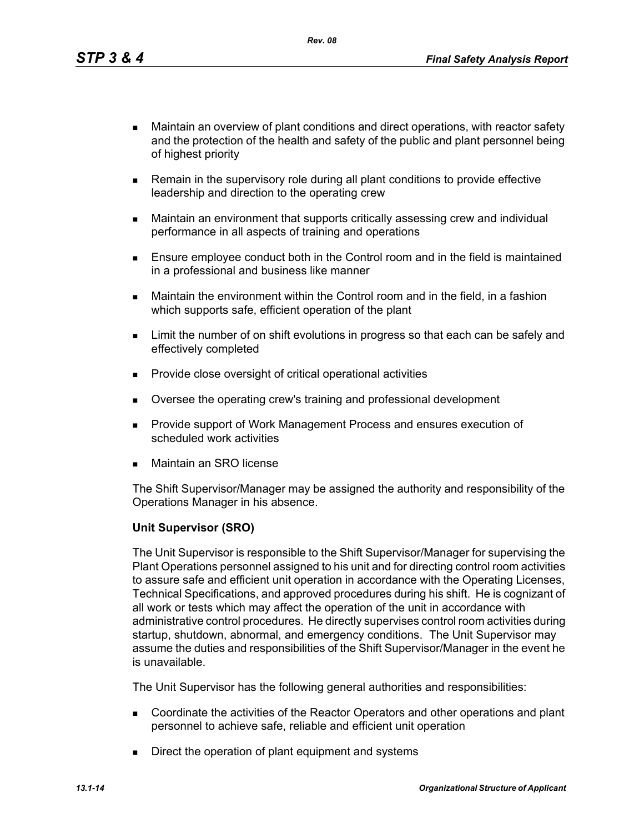*Rev. 08*

- Maintain an overview of plant conditions and direct operations, with reactor safety and the protection of the health and safety of the public and plant personnel being of highest priority
- **Remain in the supervisory role during all plant conditions to provide effective** leadership and direction to the operating crew
- Maintain an environment that supports critically assessing crew and individual performance in all aspects of training and operations
- **Ensure employee conduct both in the Control room and in the field is maintained** in a professional and business like manner
- Maintain the environment within the Control room and in the field, in a fashion which supports safe, efficient operation of the plant
- **EXECT** Limit the number of on shift evolutions in progress so that each can be safely and effectively completed
- **Provide close oversight of critical operational activities**
- **Diversee the operating crew's training and professional development**
- **Provide support of Work Management Process and ensures execution of** scheduled work activities
- Maintain an SRO license

The Shift Supervisor/Manager may be assigned the authority and responsibility of the Operations Manager in his absence.

### **Unit Supervisor (SRO)**

The Unit Supervisor is responsible to the Shift Supervisor/Manager for supervising the Plant Operations personnel assigned to his unit and for directing control room activities to assure safe and efficient unit operation in accordance with the Operating Licenses, Technical Specifications, and approved procedures during his shift. He is cognizant of all work or tests which may affect the operation of the unit in accordance with administrative control procedures. He directly supervises control room activities during startup, shutdown, abnormal, and emergency conditions. The Unit Supervisor may assume the duties and responsibilities of the Shift Supervisor/Manager in the event he is unavailable.

The Unit Supervisor has the following general authorities and responsibilities:

- Coordinate the activities of the Reactor Operators and other operations and plant personnel to achieve safe, reliable and efficient unit operation
- Direct the operation of plant equipment and systems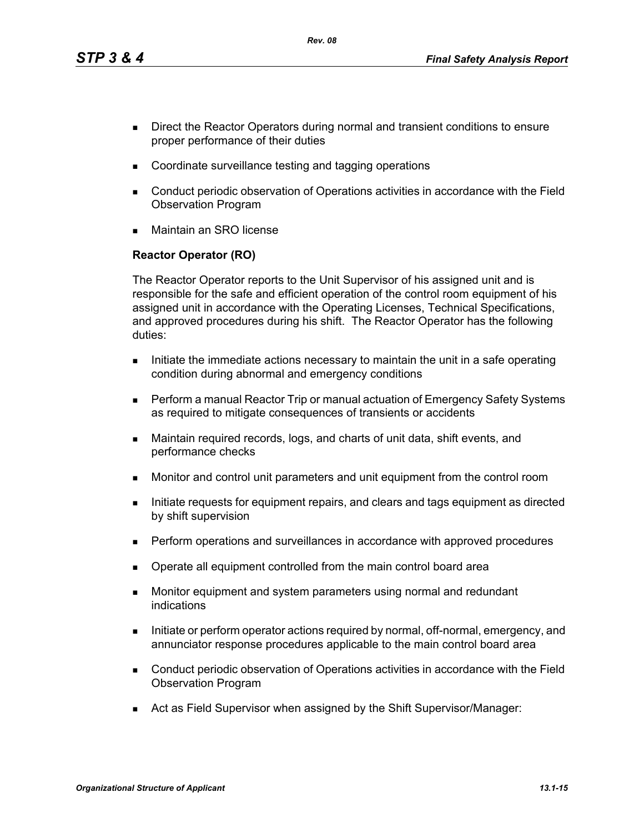*Rev. 08*

- Direct the Reactor Operators during normal and transient conditions to ensure proper performance of their duties
- Coordinate surveillance testing and tagging operations
- Conduct periodic observation of Operations activities in accordance with the Field Observation Program
- Maintain an SRO license

# **Reactor Operator (RO)**

The Reactor Operator reports to the Unit Supervisor of his assigned unit and is responsible for the safe and efficient operation of the control room equipment of his assigned unit in accordance with the Operating Licenses, Technical Specifications, and approved procedures during his shift. The Reactor Operator has the following duties:

- Initiate the immediate actions necessary to maintain the unit in a safe operating condition during abnormal and emergency conditions
- **Perform a manual Reactor Trip or manual actuation of Emergency Safety Systems** as required to mitigate consequences of transients or accidents
- Maintain required records, logs, and charts of unit data, shift events, and performance checks
- Monitor and control unit parameters and unit equipment from the control room
- Initiate requests for equipment repairs, and clears and tags equipment as directed by shift supervision
- **Perform operations and surveillances in accordance with approved procedures**
- Operate all equipment controlled from the main control board area
- **Monitor equipment and system parameters using normal and redundant** indications
- Initiate or perform operator actions required by normal, off-normal, emergency, and annunciator response procedures applicable to the main control board area
- Conduct periodic observation of Operations activities in accordance with the Field Observation Program
- Act as Field Supervisor when assigned by the Shift Supervisor/Manager: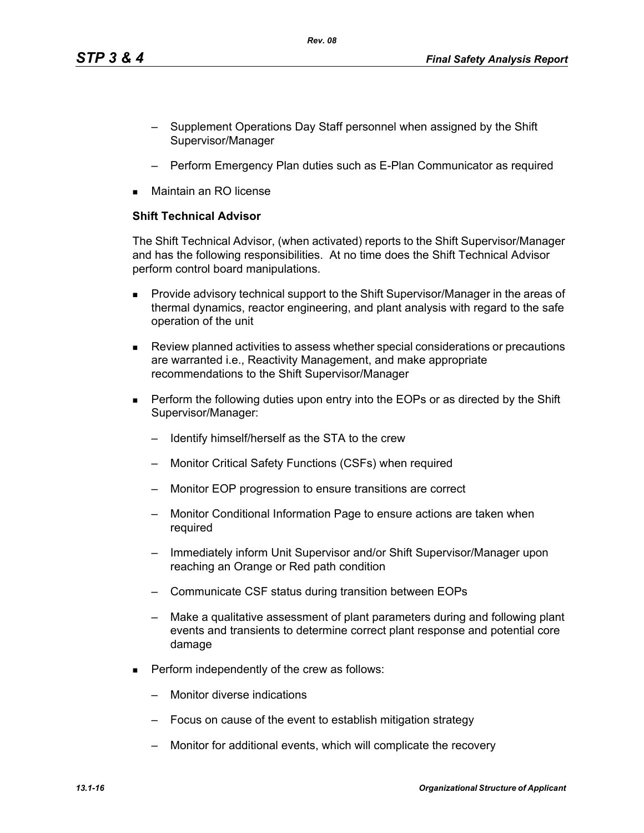- Supplement Operations Day Staff personnel when assigned by the Shift Supervisor/Manager
- Perform Emergency Plan duties such as E-Plan Communicator as required
- Maintain an RO license

### **Shift Technical Advisor**

The Shift Technical Advisor, (when activated) reports to the Shift Supervisor/Manager and has the following responsibilities. At no time does the Shift Technical Advisor perform control board manipulations.

- **Provide advisory technical support to the Shift Supervisor/Manager in the areas of** thermal dynamics, reactor engineering, and plant analysis with regard to the safe operation of the unit
- Review planned activities to assess whether special considerations or precautions are warranted i.e., Reactivity Management, and make appropriate recommendations to the Shift Supervisor/Manager
- **Perform the following duties upon entry into the EOPs or as directed by the Shift** Supervisor/Manager:
	- Identify himself/herself as the STA to the crew
	- Monitor Critical Safety Functions (CSFs) when required
	- Monitor EOP progression to ensure transitions are correct
	- Monitor Conditional Information Page to ensure actions are taken when required
	- Immediately inform Unit Supervisor and/or Shift Supervisor/Manager upon reaching an Orange or Red path condition
	- Communicate CSF status during transition between EOPs
	- Make a qualitative assessment of plant parameters during and following plant events and transients to determine correct plant response and potential core damage
- **Perform independently of the crew as follows:** 
	- Monitor diverse indications
	- Focus on cause of the event to establish mitigation strategy
	- Monitor for additional events, which will complicate the recovery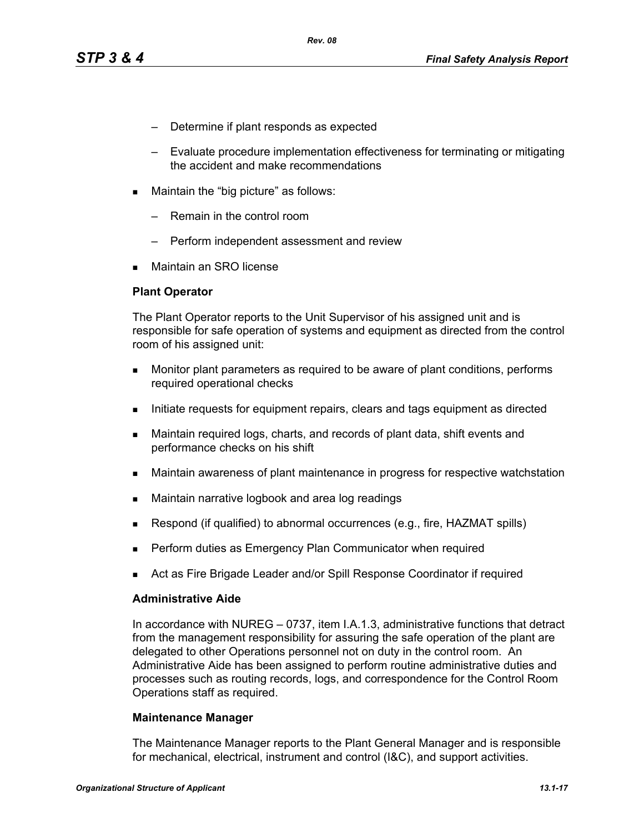- Determine if plant responds as expected
- Evaluate procedure implementation effectiveness for terminating or mitigating the accident and make recommendations
- **Maintain the "big picture" as follows:** 
	- Remain in the control room
	- Perform independent assessment and review
- Maintain an SRO license

#### **Plant Operator**

The Plant Operator reports to the Unit Supervisor of his assigned unit and is responsible for safe operation of systems and equipment as directed from the control room of his assigned unit:

- **Monitor plant parameters as required to be aware of plant conditions, performs** required operational checks
- Initiate requests for equipment repairs, clears and tags equipment as directed
- Maintain required logs, charts, and records of plant data, shift events and performance checks on his shift
- Maintain awareness of plant maintenance in progress for respective watchstation
- **Maintain narrative logbook and area log readings**
- **Respond (if qualified) to abnormal occurrences (e.g., fire, HAZMAT spills)**
- Perform duties as Emergency Plan Communicator when required
- Act as Fire Brigade Leader and/or Spill Response Coordinator if required

#### **Administrative Aide**

In accordance with NUREG – 0737, item I.A.1.3, administrative functions that detract from the management responsibility for assuring the safe operation of the plant are delegated to other Operations personnel not on duty in the control room. An Administrative Aide has been assigned to perform routine administrative duties and processes such as routing records, logs, and correspondence for the Control Room Operations staff as required.

#### **Maintenance Manager**

The Maintenance Manager reports to the Plant General Manager and is responsible for mechanical, electrical, instrument and control (I&C), and support activities.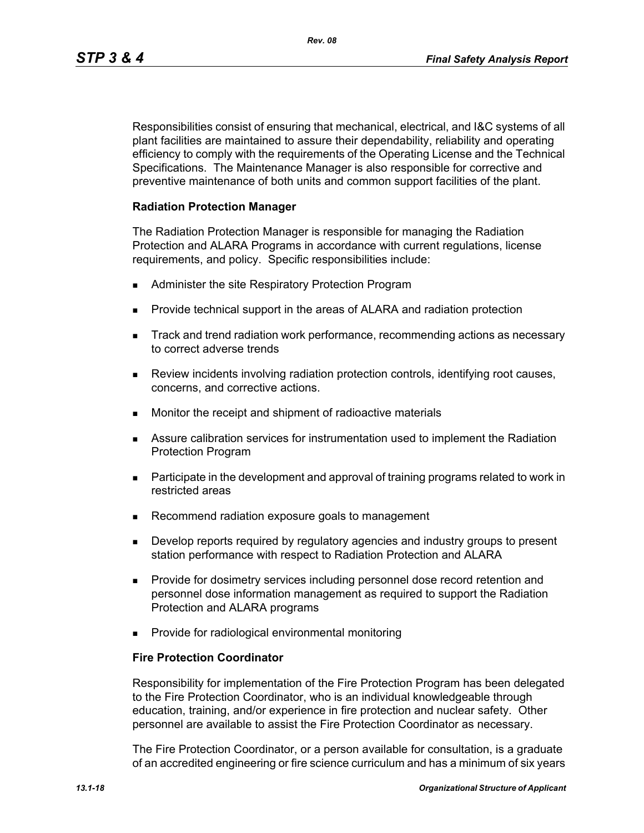Responsibilities consist of ensuring that mechanical, electrical, and I&C systems of all plant facilities are maintained to assure their dependability, reliability and operating efficiency to comply with the requirements of the Operating License and the Technical Specifications. The Maintenance Manager is also responsible for corrective and preventive maintenance of both units and common support facilities of the plant.

### **Radiation Protection Manager**

The Radiation Protection Manager is responsible for managing the Radiation Protection and ALARA Programs in accordance with current regulations, license requirements, and policy. Specific responsibilities include:

- **Administer the site Respiratory Protection Program**
- **Provide technical support in the areas of ALARA and radiation protection**
- **Track and trend radiation work performance, recommending actions as necessary** to correct adverse trends
- Review incidents involving radiation protection controls, identifying root causes, concerns, and corrective actions.
- **Monitor the receipt and shipment of radioactive materials**
- Assure calibration services for instrumentation used to implement the Radiation Protection Program
- **Participate in the development and approval of training programs related to work in** restricted areas
- Recommend radiation exposure goals to management
- **Develop reports required by regulatory agencies and industry groups to present** station performance with respect to Radiation Protection and ALARA
- **Provide for dosimetry services including personnel dose record retention and** personnel dose information management as required to support the Radiation Protection and ALARA programs
- **Provide for radiological environmental monitoring**

#### **Fire Protection Coordinator**

Responsibility for implementation of the Fire Protection Program has been delegated to the Fire Protection Coordinator, who is an individual knowledgeable through education, training, and/or experience in fire protection and nuclear safety. Other personnel are available to assist the Fire Protection Coordinator as necessary.

The Fire Protection Coordinator, or a person available for consultation, is a graduate of an accredited engineering or fire science curriculum and has a minimum of six years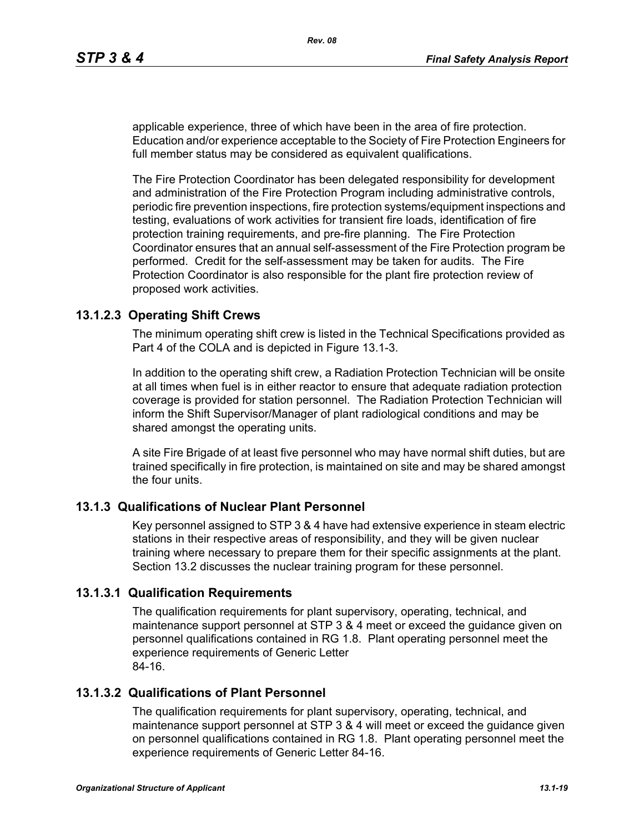applicable experience, three of which have been in the area of fire protection. Education and/or experience acceptable to the Society of Fire Protection Engineers for full member status may be considered as equivalent qualifications.

The Fire Protection Coordinator has been delegated responsibility for development and administration of the Fire Protection Program including administrative controls, periodic fire prevention inspections, fire protection systems/equipment inspections and testing, evaluations of work activities for transient fire loads, identification of fire protection training requirements, and pre-fire planning. The Fire Protection Coordinator ensures that an annual self-assessment of the Fire Protection program be performed. Credit for the self-assessment may be taken for audits. The Fire Protection Coordinator is also responsible for the plant fire protection review of proposed work activities.

### **13.1.2.3 Operating Shift Crews**

The minimum operating shift crew is listed in the Technical Specifications provided as Part 4 of the COLA and is depicted in Figure 13.1-3.

In addition to the operating shift crew, a Radiation Protection Technician will be onsite at all times when fuel is in either reactor to ensure that adequate radiation protection coverage is provided for station personnel. The Radiation Protection Technician will inform the Shift Supervisor/Manager of plant radiological conditions and may be shared amongst the operating units.

A site Fire Brigade of at least five personnel who may have normal shift duties, but are trained specifically in fire protection, is maintained on site and may be shared amongst the four units.

### **13.1.3 Qualifications of Nuclear Plant Personnel**

Key personnel assigned to STP 3 & 4 have had extensive experience in steam electric stations in their respective areas of responsibility, and they will be given nuclear training where necessary to prepare them for their specific assignments at the plant. Section 13.2 discusses the nuclear training program for these personnel.

### **13.1.3.1 Qualification Requirements**

The qualification requirements for plant supervisory, operating, technical, and maintenance support personnel at STP 3 & 4 meet or exceed the guidance given on personnel qualifications contained in RG 1.8. Plant operating personnel meet the experience requirements of Generic Letter 84-16.

### **13.1.3.2 Qualifications of Plant Personnel**

The qualification requirements for plant supervisory, operating, technical, and maintenance support personnel at STP 3 & 4 will meet or exceed the guidance given on personnel qualifications contained in RG 1.8. Plant operating personnel meet the experience requirements of Generic Letter 84-16.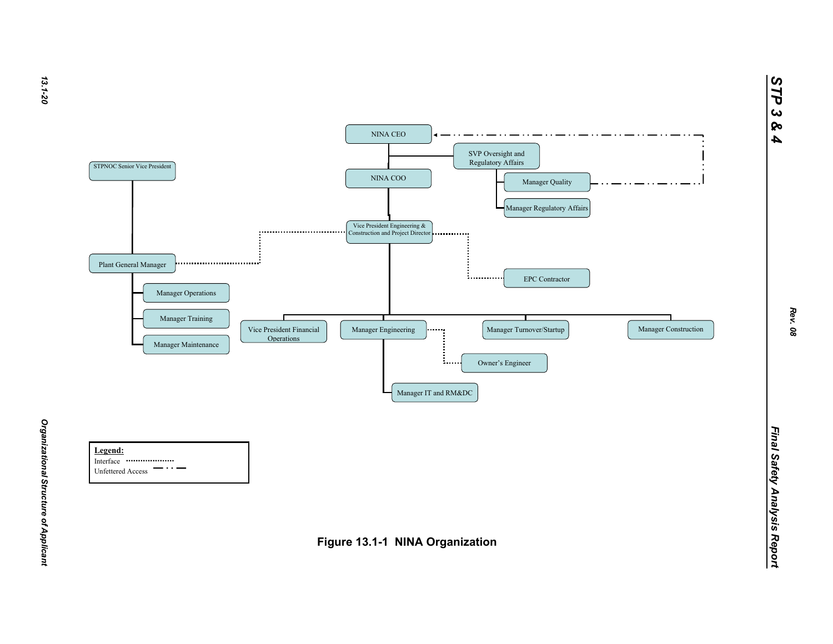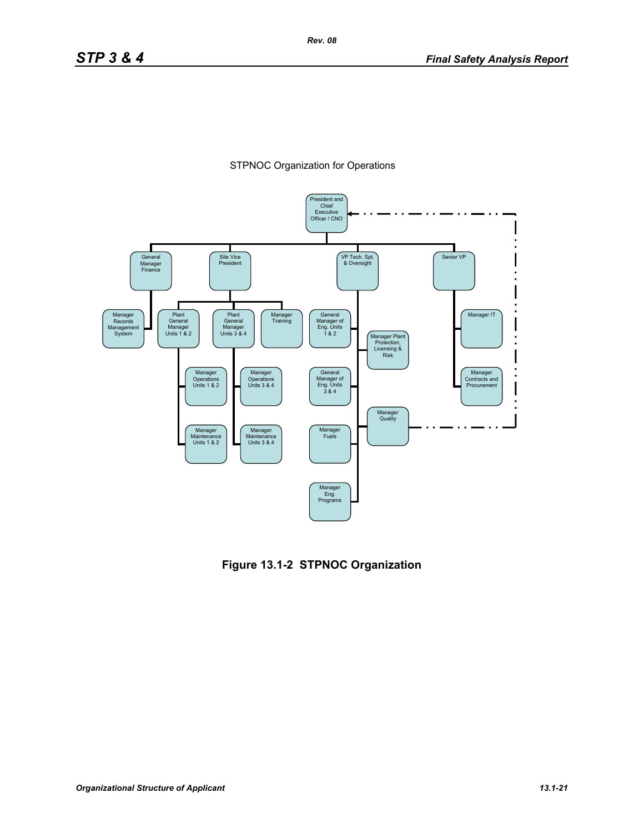



**Figure 13.1-2 STPNOC Organization**